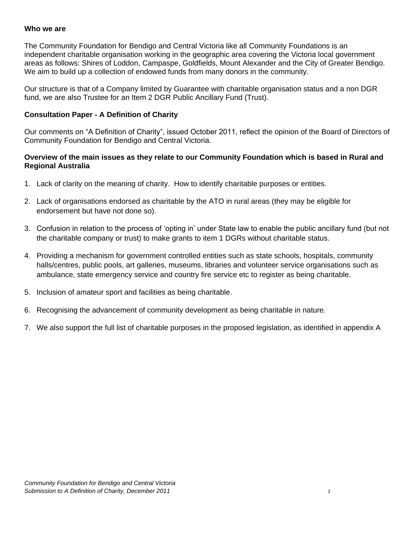#### **Who we are**

The Community Foundation for Bendigo and Central Victoria like all Community Foundations is an independent charitable organisation working in the geographic area covering the Victoria local government areas as follows: Shires of Loddon, Campaspe, Goldfields, Mount Alexander and the City of Greater Bendigo. We aim to build up a collection of endowed funds from many donors in the community.

Our structure is that of a Company limited by Guarantee with charitable organisation status and a non DGR fund, we are also Trustee for an Item 2 DGR Public Ancillary Fund (Trust).

#### **Consultation Paper - A Definition of Charity**

Our comments on "A Definition of Charity", issued October 2011, reflect the opinion of the Board of Directors of Community Foundation for Bendigo and Central Victoria.

#### **Overview of the main issues as they relate to our Community Foundation which is based in Rural and Regional Australia**

- 1. Lack of clarity on the meaning of charity. How to identify charitable purposes or entities.
- 2. Lack of organisations endorsed as charitable by the ATO in rural areas (they may be eligible for endorsement but have not done so).
- 3. Confusion in relation to the process of 'opting in' under State law to enable the public ancillary fund (but not the charitable company or trust) to make grants to item 1 DGRs without charitable status.
- 4. Providing a mechanism for government controlled entities such as state schools, hospitals, community halls/centres, public pools, art galleries, museums, libraries and volunteer service organisations such as ambulance, state emergency service and country fire service etc to register as being charitable.
- 5. Inclusion of amateur sport and facilities as being charitable.
- 6. Recognising the advancement of community development as being charitable in nature.
- 7. We also support the full list of charitable purposes in the proposed legislation, as identified in appendix A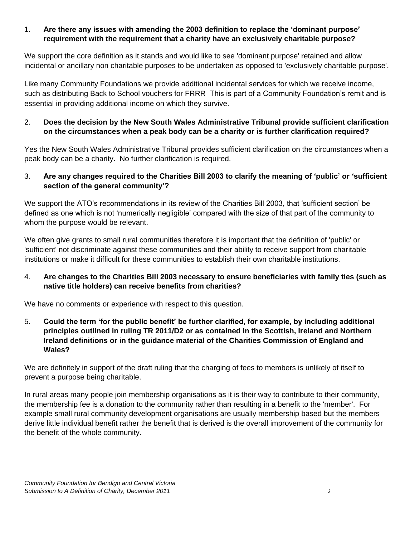## 1. **Are there any issues with amending the 2003 definition to replace the 'dominant purpose' requirement with the requirement that a charity have an exclusively charitable purpose?**

We support the core definition as it stands and would like to see 'dominant purpose' retained and allow incidental or ancillary non charitable purposes to be undertaken as opposed to 'exclusively charitable purpose'.

Like many Community Foundations we provide additional incidental services for which we receive income, such as distributing Back to School vouchers for FRRR This is part of a Community Foundation's remit and is essential in providing additional income on which they survive.

## 2. **Does the decision by the New South Wales Administrative Tribunal provide sufficient clarification on the circumstances when a peak body can be a charity or is further clarification required?**

Yes the New South Wales Administrative Tribunal provides sufficient clarification on the circumstances when a peak body can be a charity. No further clarification is required.

## 3. **Are any changes required to the Charities Bill 2003 to clarify the meaning of 'public' or 'sufficient section of the general community'?**

We support the ATO's recommendations in its review of the Charities Bill 2003, that 'sufficient section' be defined as one which is not 'numerically negligible' compared with the size of that part of the community to whom the purpose would be relevant.

We often give grants to small rural communities therefore it is important that the definition of 'public' or 'sufficient' not discriminate against these communities and their ability to receive support from charitable institutions or make it difficult for these communities to establish their own charitable institutions.

# 4. **Are changes to the Charities Bill 2003 necessary to ensure beneficiaries with family ties (such as native title holders) can receive benefits from charities?**

We have no comments or experience with respect to this question.

5. **Could the term 'for the public benefit' be further clarified, for example, by including additional principles outlined in ruling TR 2011/D2 or as contained in the Scottish, Ireland and Northern Ireland definitions or in the guidance material of the Charities Commission of England and Wales?** 

We are definitely in support of the draft ruling that the charging of fees to members is unlikely of itself to prevent a purpose being charitable.

In rural areas many people join membership organisations as it is their way to contribute to their community, the membership fee is a donation to the community rather than resulting in a benefit to the 'member'. For example small rural community development organisations are usually membership based but the members derive little individual benefit rather the benefit that is derived is the overall improvement of the community for the benefit of the whole community.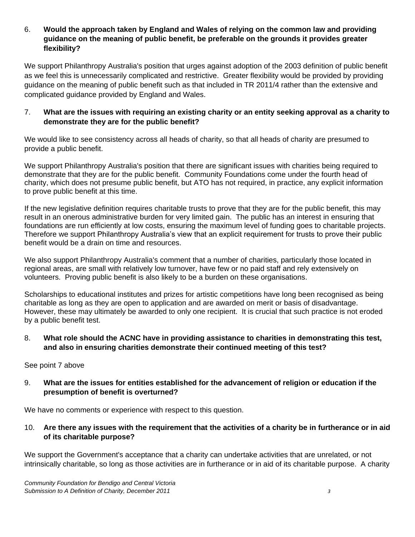#### 6. **Would the approach taken by England and Wales of relying on the common law and providing guidance on the meaning of public benefit, be preferable on the grounds it provides greater flexibility?**

We support Philanthropy Australia's position that urges against adoption of the 2003 definition of public benefit as we feel this is unnecessarily complicated and restrictive. Greater flexibility would be provided by providing guidance on the meaning of public benefit such as that included in TR 2011/4 rather than the extensive and complicated guidance provided by England and Wales.

## 7. **What are the issues with requiring an existing charity or an entity seeking approval as a charity to demonstrate they are for the public benefit?**

We would like to see consistency across all heads of charity, so that all heads of charity are presumed to provide a public benefit.

We support Philanthropy Australia's position that there are significant issues with charities being required to demonstrate that they are for the public benefit. Community Foundations come under the fourth head of charity, which does not presume public benefit, but ATO has not required, in practice, any explicit information to prove public benefit at this time.

If the new legislative definition requires charitable trusts to prove that they are for the public benefit, this may result in an onerous administrative burden for very limited gain. The public has an interest in ensuring that foundations are run efficiently at low costs, ensuring the maximum level of funding goes to charitable projects. Therefore we support Philanthropy Australia's view that an explicit requirement for trusts to prove their public benefit would be a drain on time and resources.

We also support Philanthropy Australia's comment that a number of charities, particularly those located in regional areas, are small with relatively low turnover, have few or no paid staff and rely extensively on volunteers. Proving public benefit is also likely to be a burden on these organisations.

Scholarships to educational institutes and prizes for artistic competitions have long been recognised as being charitable as long as they are open to application and are awarded on merit or basis of disadvantage. However, these may ultimately be awarded to only one recipient. It is crucial that such practice is not eroded by a public benefit test.

## 8. **What role should the ACNC have in providing assistance to charities in demonstrating this test, and also in ensuring charities demonstrate their continued meeting of this test?**

See point 7 above

## 9. **What are the issues for entities established for the advancement of religion or education if the presumption of benefit is overturned?**

We have no comments or experience with respect to this question.

#### 10. **Are there any issues with the requirement that the activities of a charity be in furtherance or in aid of its charitable purpose?**

We support the Government's acceptance that a charity can undertake activities that are unrelated, or not intrinsically charitable, so long as those activities are in furtherance or in aid of its charitable purpose. A charity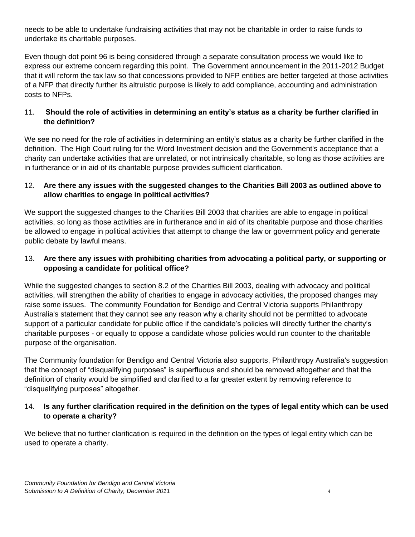needs to be able to undertake fundraising activities that may not be charitable in order to raise funds to undertake its charitable purposes.

Even though dot point 96 is being considered through a separate consultation process we would like to express our extreme concern regarding this point. The Government announcement in the 2011-2012 Budget that it will reform the tax law so that concessions provided to NFP entities are better targeted at those activities of a NFP that directly further its altruistic purpose is likely to add compliance, accounting and administration costs to NFPs.

## 11. **Should the role of activities in determining an entity's status as a charity be further clarified in the definition?**

We see no need for the role of activities in determining an entity's status as a charity be further clarified in the definition. The High Court ruling for the Word Investment decision and the Government's acceptance that a charity can undertake activities that are unrelated, or not intrinsically charitable, so long as those activities are in furtherance or in aid of its charitable purpose provides sufficient clarification.

## 12. **Are there any issues with the suggested changes to the Charities Bill 2003 as outlined above to allow charities to engage in political activities?**

We support the suggested changes to the Charities Bill 2003 that charities are able to engage in political activities, so long as those activities are in furtherance and in aid of its charitable purpose and those charities be allowed to engage in political activities that attempt to change the law or government policy and generate public debate by lawful means.

## 13. **Are there any issues with prohibiting charities from advocating a political party, or supporting or opposing a candidate for political office?**

While the suggested changes to section 8.2 of the Charities Bill 2003, dealing with advocacy and political activities, will strengthen the ability of charities to engage in advocacy activities, the proposed changes may raise some issues. The community Foundation for Bendigo and Central Victoria supports Philanthropy Australia's statement that they cannot see any reason why a charity should not be permitted to advocate support of a particular candidate for public office if the candidate's policies will directly further the charity's charitable purposes - or equally to oppose a candidate whose policies would run counter to the charitable purpose of the organisation.

The Community foundation for Bendigo and Central Victoria also supports, Philanthropy Australia's suggestion that the concept of "disqualifying purposes" is superfluous and should be removed altogether and that the definition of charity would be simplified and clarified to a far greater extent by removing reference to "disqualifying purposes" altogether.

## 14. **Is any further clarification required in the definition on the types of legal entity which can be used to operate a charity?**

We believe that no further clarification is required in the definition on the types of legal entity which can be used to operate a charity.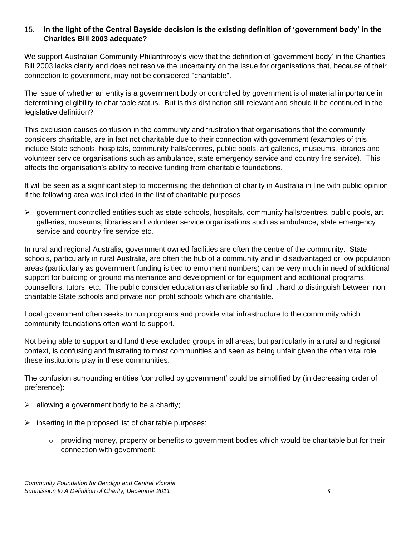## 15. **In the light of the Central Bayside decision is the existing definition of 'government body' in the Charities Bill 2003 adequate?**

We support Australian Community Philanthropy's view that the definition of 'government body' in the Charities Bill 2003 lacks clarity and does not resolve the uncertainty on the issue for organisations that, because of their connection to government, may not be considered "charitable".

The issue of whether an entity is a government body or controlled by government is of material importance in determining eligibility to charitable status. But is this distinction still relevant and should it be continued in the legislative definition?

This exclusion causes confusion in the community and frustration that organisations that the community considers charitable, are in fact not charitable due to their connection with government (examples of this include State schools, hospitals, community halls/centres, public pools, art galleries, museums, libraries and volunteer service organisations such as ambulance, state emergency service and country fire service). This affects the organisation's ability to receive funding from charitable foundations.

It will be seen as a significant step to modernising the definition of charity in Australia in line with public opinion if the following area was included in the list of charitable purposes

 $\triangleright$  government controlled entities such as state schools, hospitals, community halls/centres, public pools, art galleries, museums, libraries and volunteer service organisations such as ambulance, state emergency service and country fire service etc.

In rural and regional Australia, government owned facilities are often the centre of the community. State schools, particularly in rural Australia, are often the hub of a community and in disadvantaged or low population areas (particularly as government funding is tied to enrolment numbers) can be very much in need of additional support for building or ground maintenance and development or for equipment and additional programs, counsellors, tutors, etc. The public consider education as charitable so find it hard to distinguish between non charitable State schools and private non profit schools which are charitable.

Local government often seeks to run programs and provide vital infrastructure to the community which community foundations often want to support.

Not being able to support and fund these excluded groups in all areas, but particularly in a rural and regional context, is confusing and frustrating to most communities and seen as being unfair given the often vital role these institutions play in these communities.

The confusion surrounding entities 'controlled by government' could be simplified by (in decreasing order of preference):

- $\triangleright$  allowing a government body to be a charity;
- $\triangleright$  inserting in the proposed list of charitable purposes:
	- $\circ$  providing money, property or benefits to government bodies which would be charitable but for their connection with government;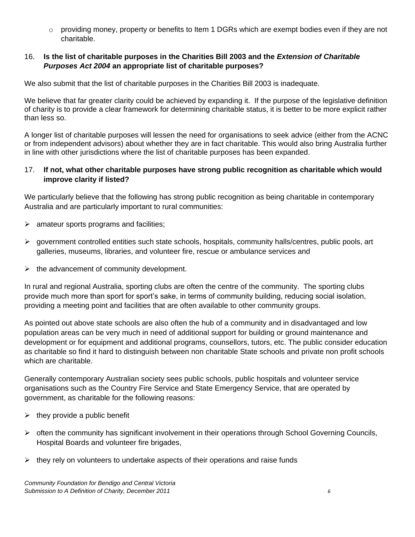o providing money, property or benefits to Item 1 DGRs which are exempt bodies even if they are not charitable.

#### 16. **Is the list of charitable purposes in the Charities Bill 2003 and the** *Extension of Charitable Purposes Act 2004* **an appropriate list of charitable purposes?**

We also submit that the list of charitable purposes in the Charities Bill 2003 is inadequate.

We believe that far greater clarity could be achieved by expanding it. If the purpose of the legislative definition of charity is to provide a clear framework for determining charitable status, it is better to be more explicit rather than less so.

A longer list of charitable purposes will lessen the need for organisations to seek advice (either from the ACNC or from independent advisors) about whether they are in fact charitable. This would also bring Australia further in line with other jurisdictions where the list of charitable purposes has been expanded.

#### 17. **If not, what other charitable purposes have strong public recognition as charitable which would improve clarity if listed?**

We particularly believe that the following has strong public recognition as being charitable in contemporary Australia and are particularly important to rural communities:

- $\triangleright$  amateur sports programs and facilities;
- government controlled entities such state schools, hospitals, community halls/centres, public pools, art galleries, museums, libraries, and volunteer fire, rescue or ambulance services and
- $\triangleright$  the advancement of community development.

In rural and regional Australia, sporting clubs are often the centre of the community. The sporting clubs provide much more than sport for sport's sake, in terms of community building, reducing social isolation, providing a meeting point and facilities that are often available to other community groups.

As pointed out above state schools are also often the hub of a community and in disadvantaged and low population areas can be very much in need of additional support for building or ground maintenance and development or for equipment and additional programs, counsellors, tutors, etc. The public consider education as charitable so find it hard to distinguish between non charitable State schools and private non profit schools which are charitable.

Generally contemporary Australian society sees public schools, public hospitals and volunteer service organisations such as the Country Fire Service and State Emergency Service, that are operated by government, as charitable for the following reasons:

- $\triangleright$  they provide a public benefit
- $\triangleright$  often the community has significant involvement in their operations through School Governing Councils, Hospital Boards and volunteer fire brigades,
- $\triangleright$  they rely on volunteers to undertake aspects of their operations and raise funds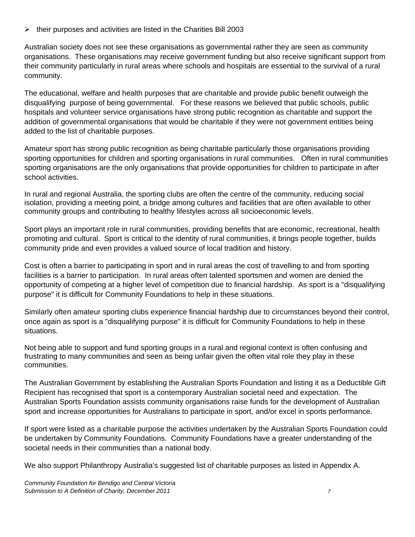$\triangleright$  their purposes and activities are listed in the Charities Bill 2003

Australian society does not see these organisations as governmental rather they are seen as community organisations. These organisations may receive government funding but also receive significant support from their community particularly in rural areas where schools and hospitals are essential to the survival of a rural community.

The educational, welfare and health purposes that are charitable and provide public benefit outweigh the disqualifying purpose of being governmental. For these reasons we believed that public schools, public hospitals and volunteer service organisations have strong public recognition as charitable and support the addition of governmental organisations that would be charitable if they were not government entities being added to the list of charitable purposes.

Amateur sport has strong public recognition as being charitable particularly those organisations providing sporting opportunities for children and sporting organisations in rural communities. Often in rural communities sporting organisations are the only organisations that provide opportunities for children to participate in after school activities.

In rural and regional Australia, the sporting clubs are often the centre of the community, reducing social isolation, providing a meeting point, a bridge among cultures and facilities that are often available to other community groups and contributing to healthy lifestyles across all socioeconomic levels.

Sport plays an important role in rural communities, providing benefits that are economic, recreational, health promoting and cultural. Sport is critical to the identity of rural communities, it brings people together, builds community pride and even provides a valued source of local tradition and history.

Cost is often a barrier to participating in sport and in rural areas the cost of travelling to and from sporting facilities is a barrier to participation. In rural areas often talented sportsmen and women are denied the opportunity of competing at a higher level of competition due to financial hardship. As sport is a "disqualifying purpose" it is difficult for Community Foundations to help in these situations.

Similarly often amateur sporting clubs experience financial hardship due to circumstances beyond their control, once again as sport is a "disqualifying purpose" it is difficult for Community Foundations to help in these situations.

Not being able to support and fund sporting groups in a rural and regional context is often confusing and frustrating to many communities and seen as being unfair given the often vital role they play in these communities.

The Australian Government by establishing the Australian Sports Foundation and listing it as a Deductible Gift Recipient has recognised that sport is a contemporary Australian societal need and expectation. The Australian Sports Foundation assists community organisations raise funds for the development of Australian sport and increase opportunities for Australians to participate in sport, and/or excel in sports performance.

If sport were listed as a charitable purpose the activities undertaken by the Australian Sports Foundation could be undertaken by Community Foundations. Community Foundations have a greater understanding of the societal needs in their communities than a national body.

We also support Philanthropy Australia's suggested list of charitable purposes as listed in Appendix A.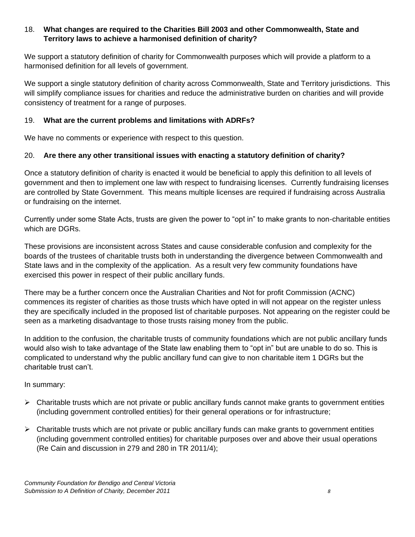## 18. **What changes are required to the Charities Bill 2003 and other Commonwealth, State and Territory laws to achieve a harmonised definition of charity?**

We support a statutory definition of charity for Commonwealth purposes which will provide a platform to a harmonised definition for all levels of government.

We support a single statutory definition of charity across Commonwealth, State and Territory jurisdictions. This will simplify compliance issues for charities and reduce the administrative burden on charities and will provide consistency of treatment for a range of purposes.

#### 19. **What are the current problems and limitations with ADRFs?**

We have no comments or experience with respect to this question.

#### 20. **Are there any other transitional issues with enacting a statutory definition of charity?**

Once a statutory definition of charity is enacted it would be beneficial to apply this definition to all levels of government and then to implement one law with respect to fundraising licenses. Currently fundraising licenses are controlled by State Government. This means multiple licenses are required if fundraising across Australia or fundraising on the internet.

Currently under some State Acts, trusts are given the power to "opt in" to make grants to non-charitable entities which are DGRs.

These provisions are inconsistent across States and cause considerable confusion and complexity for the boards of the trustees of charitable trusts both in understanding the divergence between Commonwealth and State laws and in the complexity of the application. As a result very few community foundations have exercised this power in respect of their public ancillary funds.

There may be a further concern once the Australian Charities and Not for profit Commission (ACNC) commences its register of charities as those trusts which have opted in will not appear on the register unless they are specifically included in the proposed list of charitable purposes. Not appearing on the register could be seen as a marketing disadvantage to those trusts raising money from the public.

In addition to the confusion, the charitable trusts of community foundations which are not public ancillary funds would also wish to take advantage of the State law enabling them to "opt in" but are unable to do so. This is complicated to understand why the public ancillary fund can give to non charitable item 1 DGRs but the charitable trust can't.

In summary:

- $\triangleright$  Charitable trusts which are not private or public ancillary funds cannot make grants to government entities (including government controlled entities) for their general operations or for infrastructure;
- $\triangleright$  Charitable trusts which are not private or public ancillary funds can make grants to government entities (including government controlled entities) for charitable purposes over and above their usual operations (Re Cain and discussion in 279 and 280 in TR 2011/4);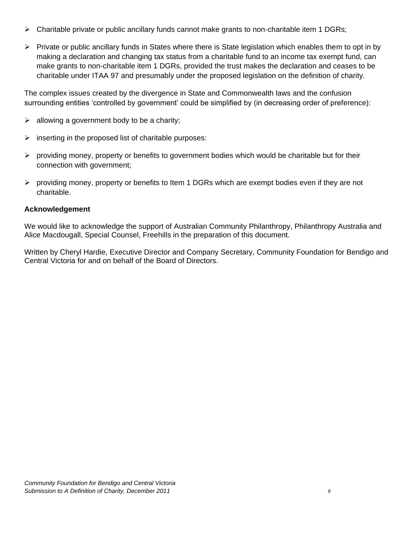- $\triangleright$  Charitable private or public ancillary funds cannot make grants to non-charitable item 1 DGRs;
- $\triangleright$  Private or public ancillary funds in States where there is State legislation which enables them to opt in by making a declaration and changing tax status from a charitable fund to an income tax exempt fund, can make grants to non-charitable item 1 DGRs, provided the trust makes the declaration and ceases to be charitable under ITAA 97 and presumably under the proposed legislation on the definition of charity.

The complex issues created by the divergence in State and Commonwealth laws and the confusion surrounding entities 'controlled by government' could be simplified by (in decreasing order of preference):

- $\triangleright$  allowing a government body to be a charity;
- $\triangleright$  inserting in the proposed list of charitable purposes:
- $\triangleright$  providing money, property or benefits to government bodies which would be charitable but for their connection with government;
- $\triangleright$  providing money, property or benefits to Item 1 DGRs which are exempt bodies even if they are not charitable.

## **Acknowledgement**

We would like to acknowledge the support of Australian Community Philanthropy, Philanthropy Australia and Alice Macdougall, Special Counsel, Freehills in the preparation of this document.

Written by Cheryl Hardie, Executive Director and Company Secretary, Community Foundation for Bendigo and Central Victoria for and on behalf of the Board of Directors.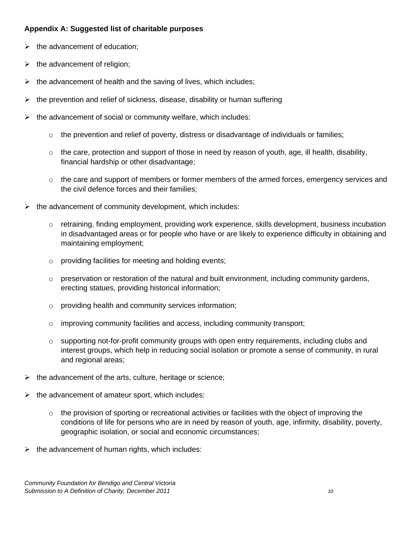#### **Appendix A: Suggested list of charitable purposes**

- $\triangleright$  the advancement of education;
- $\triangleright$  the advancement of religion;
- $\triangleright$  the advancement of health and the saving of lives, which includes;
- $\triangleright$  the prevention and relief of sickness, disease, disability or human suffering
- $\triangleright$  the advancement of social or community welfare, which includes:
	- $\circ$  the prevention and relief of poverty, distress or disadvantage of individuals or families;
	- $\circ$  the care, protection and support of those in need by reason of youth, age, ill health, disability, financial hardship or other disadvantage;
	- $\circ$  the care and support of members or former members of the armed forces, emergency services and the civil defence forces and their families;
- $\triangleright$  the advancement of community development, which includes:
	- $\circ$  retraining, finding employment, providing work experience, skills development, business incubation in disadvantaged areas or for people who have or are likely to experience difficulty in obtaining and maintaining employment;
	- o providing facilities for meeting and holding events;
	- $\circ$  preservation or restoration of the natural and built environment, including community gardens, erecting statues, providing historical information;
	- o providing health and community services information;
	- $\circ$  improving community facilities and access, including community transport;
	- $\circ$  supporting not-for-profit community groups with open entry requirements, including clubs and interest groups, which help in reducing social isolation or promote a sense of community, in rural and regional areas;
- $\triangleright$  the advancement of the arts, culture, heritage or science;
- $\triangleright$  the advancement of amateur sport, which includes:
	- $\circ$  the provision of sporting or recreational activities or facilities with the object of improving the conditions of life for persons who are in need by reason of youth, age, infirmity, disability, poverty, geographic isolation, or social and economic circumstances;
- $\triangleright$  the advancement of human rights, which includes: